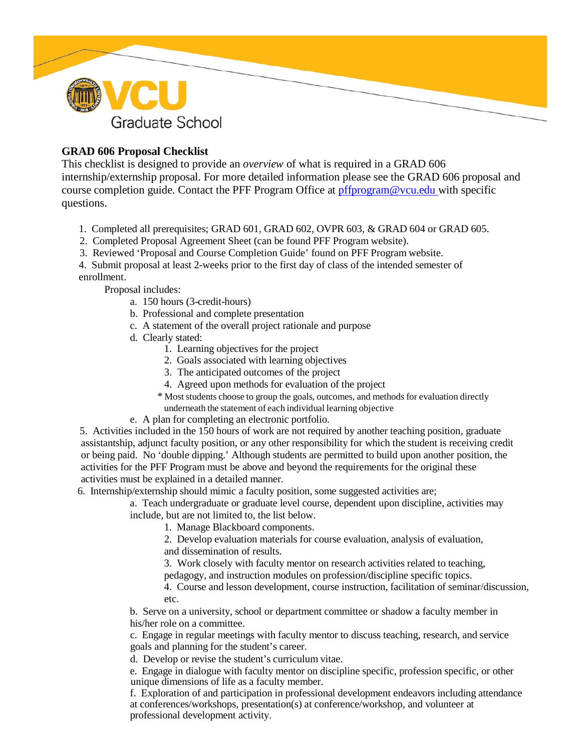

# **GRAD 606 Proposal Checklist**

This checklist is designed to provide an *overview* of what is required in a GRAD 606 internship/externship proposal. For more detailed information please see the GRAD 606 proposal and course completion guide. Contact the PFF Program Office at [pffprogram@vcu.edu w](mailto:pffprogram@vcu.edu)ith specific questions.

- 1. Completed all prerequisites; GRAD 601, GRAD 602, OVPR 603, & GRAD 604 or GRAD 605.
- 2. Completed Proposal Agreement Sheet (can be found PFF Program website).
- 3. Reviewed 'Proposal and Course Completion Guide' found on PFF Program website.

4. Submit proposal at least 2-weeks prior to the first day of class of the intended semester of enrollment.

Proposal includes:

- a. 150 hours (3-credit-hours)
- b. Professional and complete presentation
- c. A statement of the overall project rationale and purpose
- d. Clearly stated:
	- 1. Learning objectives for the project
	- 2. Goals associated with learning objectives
	- 3. The anticipated outcomes of the project
	- 4. Agreed upon methods for evaluation of the project
	- \* Most students choose to group the goals, outcomes, and methods for evaluation directly underneath the statement of each individual learning objective
- e. A plan for completing an electronic portfolio.

 5. Activities included in the 150 hours of work are not required by another teaching position, graduate assistantship, adjunct faculty position, or any other responsibility for which the student is receiving credit or being paid. No 'double dipping.' Although students are permitted to build upon another position, the activities for the PFF Program must be above and beyond the requirements for the original these activities must be explained in a detailed manner.

6. Internship/externship should mimic a faculty position, some suggested activities are;

a. Teach undergraduate or graduate level course, dependent upon discipline, activities may include, but are not limited to, the list below.

1. Manage Blackboard components.

2. Develop evaluation materials for course evaluation, analysis of evaluation, and dissemination of results.

3. Work closely with faculty mentor on research activities related to teaching, pedagogy, and instruction modules on profession/discipline specific topics.

4. Course and lesson development, course instruction, facilitation of seminar/discussion, etc.

b. Serve on a university, school or department committee or shadow a faculty member in his/her role on a committee.

c. Engage in regular meetings with faculty mentor to discuss teaching, research, and service goals and planning for the student's career.

d. Develop or revise the student's curriculum vitae.

e. Engage in dialogue with faculty mentor on discipline specific, profession specific, or other unique dimensions of life as a faculty member.

f. Exploration of and participation in professional development endeavors including attendance at conferences/workshops, presentation(s) at conference/workshop, and volunteer at professional development activity.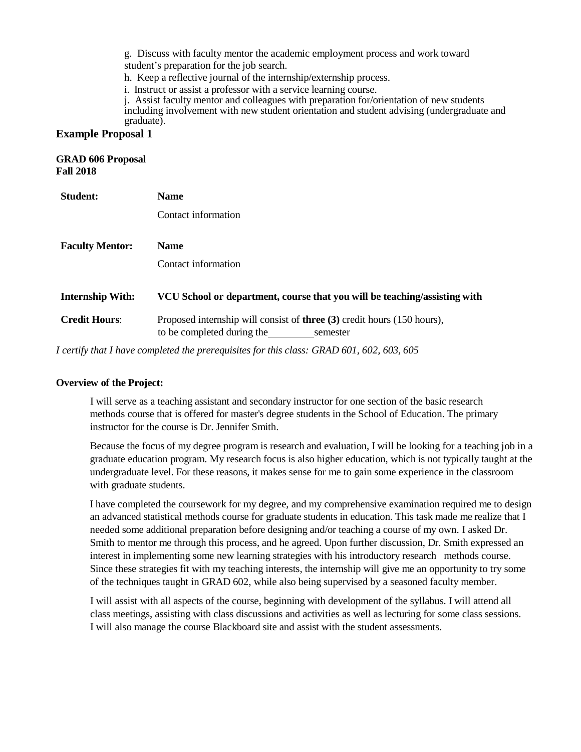g. Discuss with faculty mentor the academic employment process and work toward student's preparation for the job search.

h. Keep a reflective journal of the internship/externship process.

i. Instruct or assist a professor with a service learning course.

j. Assist faculty mentor and colleagues with preparation for/orientation of new students including involvement with new student orientation and student advising (undergraduate and graduate).

### **Example Proposal 1**

### **GRAD 606 Proposal Fall 2018**

| <b>Student:</b>         | <b>Name</b>                                                                                                              |
|-------------------------|--------------------------------------------------------------------------------------------------------------------------|
|                         | Contact information                                                                                                      |
| <b>Faculty Mentor:</b>  | <b>Name</b>                                                                                                              |
|                         |                                                                                                                          |
|                         | Contact information                                                                                                      |
| <b>Internship With:</b> | VCU School or department, course that you will be teaching/assisting with                                                |
| <b>Credit Hours:</b>    | Proposed internship will consist of <b>three</b> (3) credit hours (150 hours),<br>to be completed during the<br>semester |
|                         |                                                                                                                          |

*I certify that I have completed the prerequisites for this class: GRAD 601, 602, 603, 605*

### **Overview of the Project:**

I will serve as a teaching assistant and secondary instructor for one section of the basic research methods course that is offered for master's degree students in the School of Education. The primary instructor for the course is Dr. Jennifer Smith.

Because the focus of my degree program is research and evaluation, I will be looking for a teaching job in a graduate education program. My research focus is also higher education, which is not typically taught at the undergraduate level. For these reasons, it makes sense for me to gain some experience in the classroom with graduate students.

I have completed the coursework for my degree, and my comprehensive examination required me to design an advanced statistical methods course for graduate students in education. This task made me realize that I needed some additional preparation before designing and/or teaching a course of my own. I asked Dr. Smith to mentor me through this process, and he agreed. Upon further discussion, Dr. Smith expressed an interest in implementing some new learning strategies with his introductory research methods course. Since these strategies fit with my teaching interests, the internship will give me an opportunity to try some of the techniques taught in GRAD 602, while also being supervised by a seasoned faculty member.

I will assist with all aspects of the course, beginning with development of the syllabus. I will attend all class meetings, assisting with class discussions and activities as well as lecturing for some class sessions. I will also manage the course Blackboard site and assist with the student assessments.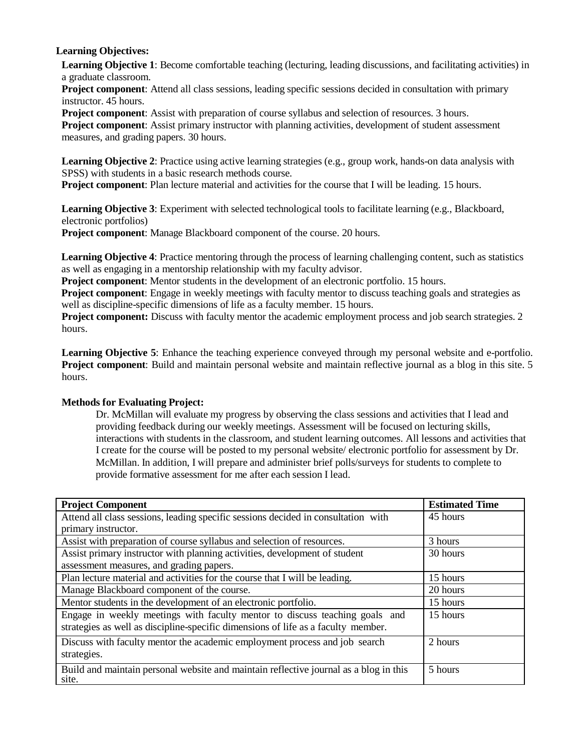## **Learning Objectives:**

**Learning Objective 1**: Become comfortable teaching (lecturing, leading discussions, and facilitating activities) in a graduate classroom.

**Project component**: Attend all class sessions, leading specific sessions decided in consultation with primary instructor. 45 hours.

**Project component**: Assist with preparation of course syllabus and selection of resources. 3 hours.

**Project component**: Assist primary instructor with planning activities, development of student assessment measures, and grading papers. 30 hours.

**Learning Objective 2**: Practice using active learning strategies (e.g., group work, hands-on data analysis with SPSS) with students in a basic research methods course.

**Project component**: Plan lecture material and activities for the course that I will be leading. 15 hours.

**Learning Objective 3**: Experiment with selected technological tools to facilitate learning (e.g., Blackboard, electronic portfolios)

**Project component**: Manage Blackboard component of the course. 20 hours.

**Learning Objective 4**: Practice mentoring through the process of learning challenging content, such as statistics as well as engaging in a mentorship relationship with my faculty advisor.

**Project component**: Mentor students in the development of an electronic portfolio. 15 hours.

**Project component**: Engage in weekly meetings with faculty mentor to discuss teaching goals and strategies as well as discipline-specific dimensions of life as a faculty member. 15 hours.

**Project component:** Discuss with faculty mentor the academic employment process and job search strategies. 2 hours.

**Learning Objective 5**: Enhance the teaching experience conveyed through my personal website and e-portfolio. **Project component**: Build and maintain personal website and maintain reflective journal as a blog in this site. 5 hours.

## **Methods for Evaluating Project:**

Dr. McMillan will evaluate my progress by observing the class sessions and activities that I lead and providing feedback during our weekly meetings. Assessment will be focused on lecturing skills, interactions with students in the classroom, and student learning outcomes. All lessons and activities that I create for the course will be posted to my personal website/ electronic portfolio for assessment by Dr. McMillan. In addition, I will prepare and administer brief polls/surveys for students to complete to provide formative assessment for me after each session I lead.

| <b>Project Component</b>                                                                       | <b>Estimated Time</b> |
|------------------------------------------------------------------------------------------------|-----------------------|
| Attend all class sessions, leading specific sessions decided in consultation with              | 45 hours              |
| primary instructor.                                                                            |                       |
| Assist with preparation of course syllabus and selection of resources.                         | 3 hours               |
| Assist primary instructor with planning activities, development of student                     | 30 hours              |
| assessment measures, and grading papers.                                                       |                       |
| Plan lecture material and activities for the course that I will be leading.                    | 15 hours              |
| Manage Blackboard component of the course.                                                     | 20 hours              |
| Mentor students in the development of an electronic portfolio.                                 | 15 hours              |
| Engage in weekly meetings with faculty mentor to discuss teaching goals and                    | 15 hours              |
| strategies as well as discipline-specific dimensions of life as a faculty member.              |                       |
| Discuss with faculty mentor the academic employment process and job search                     | 2 hours               |
| strategies.                                                                                    |                       |
| Build and maintain personal website and maintain reflective journal as a blog in this<br>site. | 5 hours               |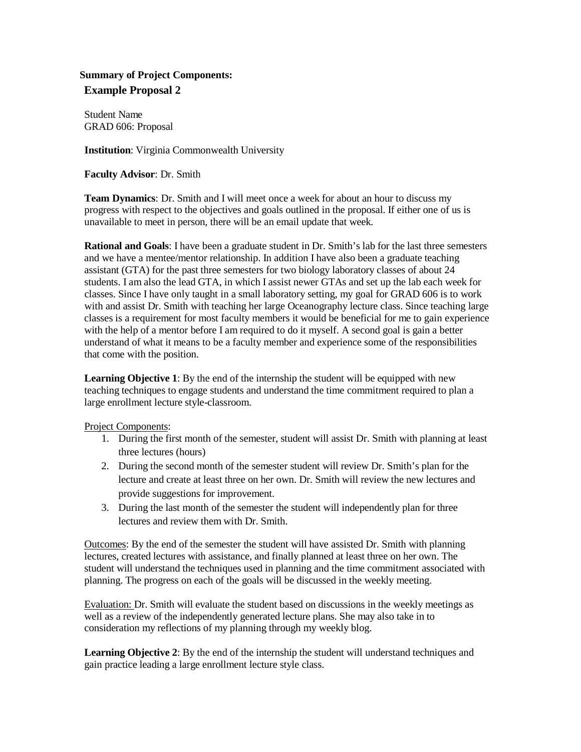# **Summary of Project Components: Example Proposal 2**

Student Name GRAD 606: Proposal

**Institution**: Virginia Commonwealth University

**Faculty Advisor**: Dr. Smith

**Team Dynamics**: Dr. Smith and I will meet once a week for about an hour to discuss my progress with respect to the objectives and goals outlined in the proposal. If either one of us is unavailable to meet in person, there will be an email update that week.

**Rational and Goals**: I have been a graduate student in Dr. Smith's lab for the last three semesters and we have a mentee/mentor relationship. In addition I have also been a graduate teaching assistant (GTA) for the past three semesters for two biology laboratory classes of about 24 students. I am also the lead GTA, in which I assist newer GTAs and set up the lab each week for classes. Since I have only taught in a small laboratory setting, my goal for GRAD 606 is to work with and assist Dr. Smith with teaching her large Oceanography lecture class. Since teaching large classes is a requirement for most faculty members it would be beneficial for me to gain experience with the help of a mentor before I am required to do it myself. A second goal is gain a better understand of what it means to be a faculty member and experience some of the responsibilities that come with the position.

**Learning Objective 1**: By the end of the internship the student will be equipped with new teaching techniques to engage students and understand the time commitment required to plan a large enrollment lecture style-classroom.

Project Components:

- 1. During the first month of the semester, student will assist Dr. Smith with planning at least three lectures (hours)
- 2. During the second month of the semester student will review Dr. Smith's plan for the lecture and create at least three on her own. Dr. Smith will review the new lectures and provide suggestions for improvement.
- 3. During the last month of the semester the student will independently plan for three lectures and review them with Dr. Smith.

Outcomes: By the end of the semester the student will have assisted Dr. Smith with planning lectures, created lectures with assistance, and finally planned at least three on her own. The student will understand the techniques used in planning and the time commitment associated with planning. The progress on each of the goals will be discussed in the weekly meeting.

Evaluation: Dr. Smith will evaluate the student based on discussions in the weekly meetings as well as a review of the independently generated lecture plans. She may also take in to consideration my reflections of my planning through my weekly blog.

**Learning Objective 2**: By the end of the internship the student will understand techniques and gain practice leading a large enrollment lecture style class.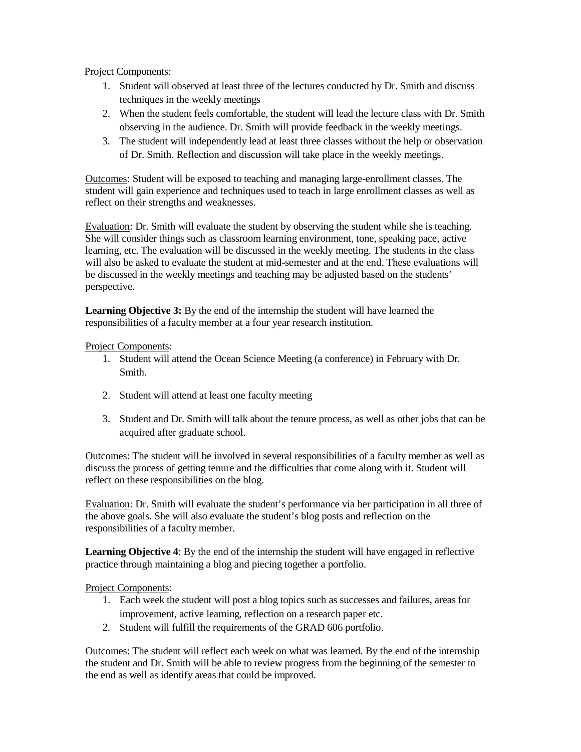### Project Components:

- 1. Student will observed at least three of the lectures conducted by Dr. Smith and discuss techniques in the weekly meetings
- 2. When the student feels comfortable, the student will lead the lecture class with Dr. Smith observing in the audience. Dr. Smith will provide feedback in the weekly meetings.
- 3. The student will independently lead at least three classes without the help or observation of Dr. Smith. Reflection and discussion will take place in the weekly meetings.

Outcomes: Student will be exposed to teaching and managing large-enrollment classes. The student will gain experience and techniques used to teach in large enrollment classes as well as reflect on their strengths and weaknesses.

Evaluation: Dr. Smith will evaluate the student by observing the student while she is teaching. She will consider things such as classroom learning environment, tone, speaking pace, active learning, etc. The evaluation will be discussed in the weekly meeting. The students in the class will also be asked to evaluate the student at mid-semester and at the end. These evaluations will be discussed in the weekly meetings and teaching may be adjusted based on the students' perspective.

**Learning Objective 3:** By the end of the internship the student will have learned the responsibilities of a faculty member at a four year research institution.

## Project Components:

- 1. Student will attend the Ocean Science Meeting (a conference) in February with Dr. Smith.
- 2. Student will attend at least one faculty meeting
- 3. Student and Dr. Smith will talk about the tenure process, as well as other jobs that can be acquired after graduate school.

Outcomes: The student will be involved in several responsibilities of a faculty member as well as discuss the process of getting tenure and the difficulties that come along with it. Student will reflect on these responsibilities on the blog.

Evaluation: Dr. Smith will evaluate the student's performance via her participation in all three of the above goals. She will also evaluate the student's blog posts and reflection on the responsibilities of a faculty member.

**Learning Objective 4**: By the end of the internship the student will have engaged in reflective practice through maintaining a blog and piecing together a portfolio.

Project Components:

- 1. Each week the student will post a blog topics such as successes and failures, areas for improvement, active learning, reflection on a research paper etc.
- 2. Student will fulfill the requirements of the GRAD 606 portfolio.

Outcomes: The student will reflect each week on what was learned. By the end of the internship the student and Dr. Smith will be able to review progress from the beginning of the semester to the end as well as identify areas that could be improved.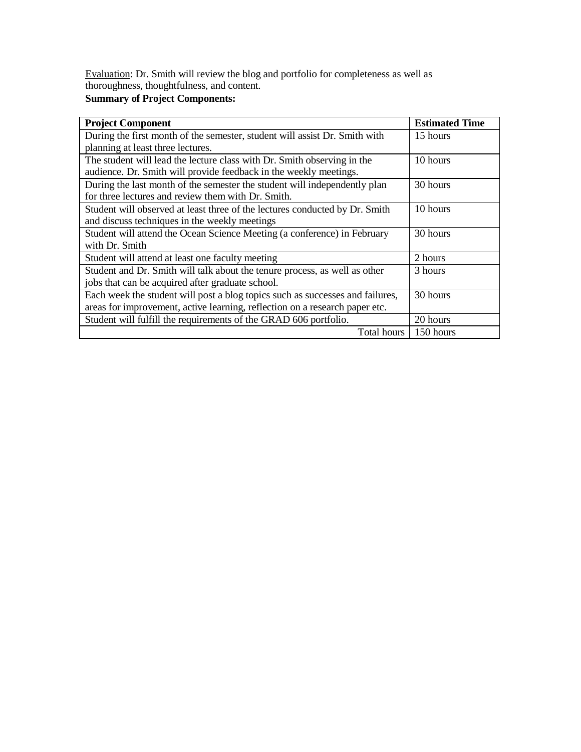Evaluation: Dr. Smith will review the blog and portfolio for completeness as well as thoroughness, thoughtfulness, and content.

### **Summary of Project Components:**

| <b>Project Component</b>                                                      | <b>Estimated Time</b> |
|-------------------------------------------------------------------------------|-----------------------|
| During the first month of the semester, student will assist Dr. Smith with    | 15 hours              |
| planning at least three lectures.                                             |                       |
| The student will lead the lecture class with Dr. Smith observing in the       | 10 hours              |
| audience. Dr. Smith will provide feedback in the weekly meetings.             |                       |
| During the last month of the semester the student will independently plan     | 30 hours              |
| for three lectures and review them with Dr. Smith.                            |                       |
| Student will observed at least three of the lectures conducted by Dr. Smith   | 10 hours              |
| and discuss techniques in the weekly meetings                                 |                       |
| Student will attend the Ocean Science Meeting (a conference) in February      | 30 hours              |
| with Dr. Smith                                                                |                       |
| Student will attend at least one faculty meeting                              | 2 hours               |
| Student and Dr. Smith will talk about the tenure process, as well as other    | 3 hours               |
| jobs that can be acquired after graduate school.                              |                       |
| Each week the student will post a blog topics such as successes and failures, | 30 hours              |
| areas for improvement, active learning, reflection on a research paper etc.   |                       |
| Student will fulfill the requirements of the GRAD 606 portfolio.              | 20 hours              |
| Total hours                                                                   | 150 hours             |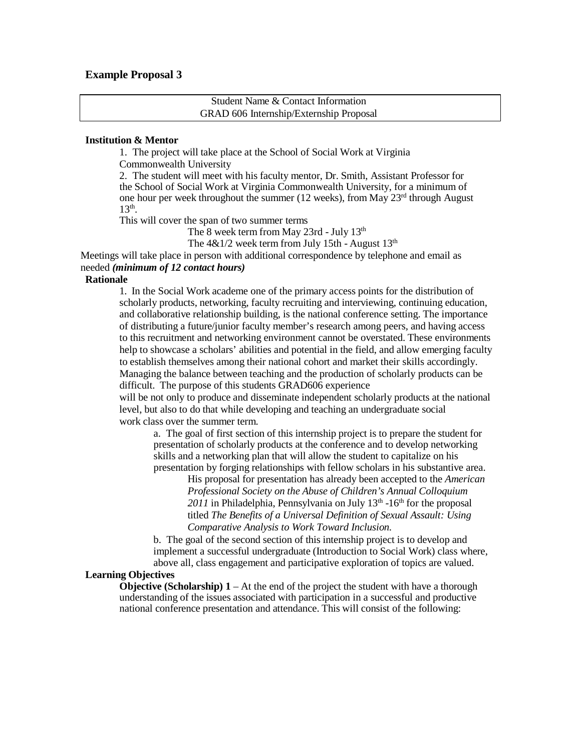### **Example Proposal 3**

Student Name & Contact Information GRAD 606 Internship/Externship Proposal

### **Institution & Mentor**

1. The project will take place at the School of Social Work at Virginia Commonwealth University

2. The student will meet with his faculty mentor, Dr. Smith, Assistant Professor for the School of Social Work at Virginia Commonwealth University, for a minimum of one hour per week throughout the summer (12 weeks), from May  $23<sup>rd</sup>$  through August  $13<sup>th</sup>$ .

This will cover the span of two summer terms

The 8 week term from May 23rd - July 13<sup>th</sup>

The  $4&1/2$  week term from July 15th - August 13<sup>th</sup>

Meetings will take place in person with additional correspondence by telephone and email as needed *(minimum of 12 contact hours)*

#### **Rationale**

1. In the Social Work academe one of the primary access points for the distribution of scholarly products, networking, faculty recruiting and interviewing, continuing education, and collaborative relationship building, is the national conference setting. The importance of distributing a future/junior faculty member's research among peers, and having access to this recruitment and networking environment cannot be overstated. These environments help to showcase a scholars' abilities and potential in the field, and allow emerging faculty to establish themselves among their national cohort and market their skills accordingly. Managing the balance between teaching and the production of scholarly products can be difficult. The purpose of this students GRAD606 experience

will be not only to produce and disseminate independent scholarly products at the national level, but also to do that while developing and teaching an undergraduate social work class over the summer term.

a. The goal of first section of this internship project is to prepare the student for presentation of scholarly products at the conference and to develop networking skills and a networking plan that will allow the student to capitalize on his presentation by forging relationships with fellow scholars in his substantive area.

His proposal for presentation has already been accepted to the *American Professional Society on the Abuse of Children's Annual Colloquium*   $2011$  in Philadelphia, Pennsylvania on July  $13<sup>th</sup>$  -16<sup>th</sup> for the proposal titled *The Benefits of a Universal Definition of Sexual Assault: Using Comparative Analysis to Work Toward Inclusion.*

b. The goal of the second section of this internship project is to develop and implement a successful undergraduate (Introduction to Social Work) class where, above all, class engagement and participative exploration of topics are valued.

### **Learning Objectives**

**Objective (Scholarship) 1** – At the end of the project the student with have a thorough understanding of the issues associated with participation in a successful and productive national conference presentation and attendance. This will consist of the following: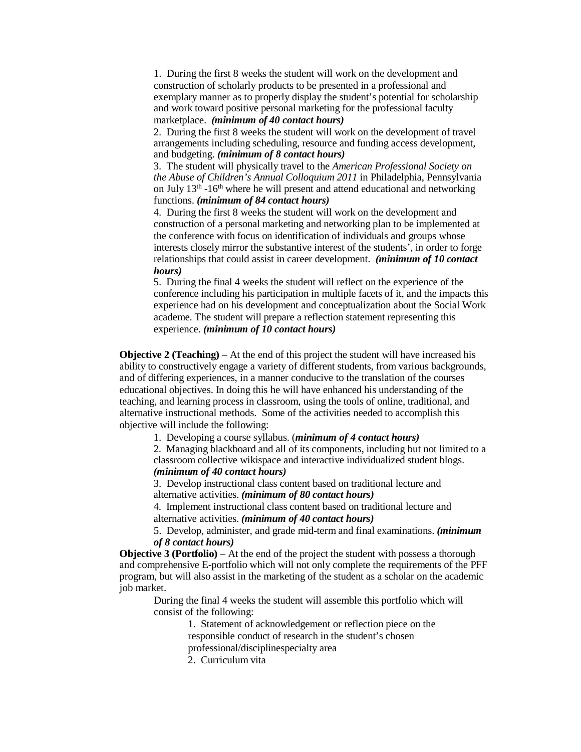1. During the first 8 weeks the student will work on the development and construction of scholarly products to be presented in a professional and exemplary manner as to properly display the student's potential for scholarship and work toward positive personal marketing for the professional faculty marketplace. *(minimum of 40 contact hours)*

2. During the first 8 weeks the student will work on the development of travel arrangements including scheduling, resource and funding access development, and budgeting. *(minimum of 8 contact hours)*

3. The student will physically travel to the *American Professional Society on the Abuse of Children's Annual Colloquium 2011* in Philadelphia, Pennsylvania on July  $13<sup>th</sup> - 16<sup>th</sup>$  where he will present and attend educational and networking functions. *(minimum of 84 contact hours)*

4. During the first 8 weeks the student will work on the development and construction of a personal marketing and networking plan to be implemented at the conference with focus on identification of individuals and groups whose interests closely mirror the substantive interest of the students', in order to forge relationships that could assist in career development. *(minimum of 10 contact hours)*

5. During the final 4 weeks the student will reflect on the experience of the conference including his participation in multiple facets of it, and the impacts this experience had on his development and conceptualization about the Social Work academe. The student will prepare a reflection statement representing this experience. *(minimum of 10 contact hours)*

**Objective 2 (Teaching)** – At the end of this project the student will have increased his ability to constructively engage a variety of different students, from various backgrounds, and of differing experiences, in a manner conducive to the translation of the courses educational objectives. In doing this he will have enhanced his understanding of the teaching, and learning process in classroom, using the tools of online, traditional, and alternative instructional methods. Some of the activities needed to accomplish this objective will include the following:

1. Developing a course syllabus. (*minimum of 4 contact hours)*

2. Managing blackboard and all of its components, including but not limited to a classroom collective wikispace and interactive individualized student blogs. *(minimum of 40 contact hours)*

3. Develop instructional class content based on traditional lecture and alternative activities. *(minimum of 80 contact hours)*

4. Implement instructional class content based on traditional lecture and alternative activities. *(minimum of 40 contact hours)*

5. Develop, administer, and grade mid-term and final examinations. *(minimum of 8 contact hours)*

**Objective 3 (Portfolio)** – At the end of the project the student with possess a thorough and comprehensive E-portfolio which will not only complete the requirements of the PFF program, but will also assist in the marketing of the student as a scholar on the academic job market.

During the final 4 weeks the student will assemble this portfolio which will consist of the following:

> 1. Statement of acknowledgement or reflection piece on the responsible conduct of research in the student's chosen

professional/disciplinespecialty area

2. Curriculum vita